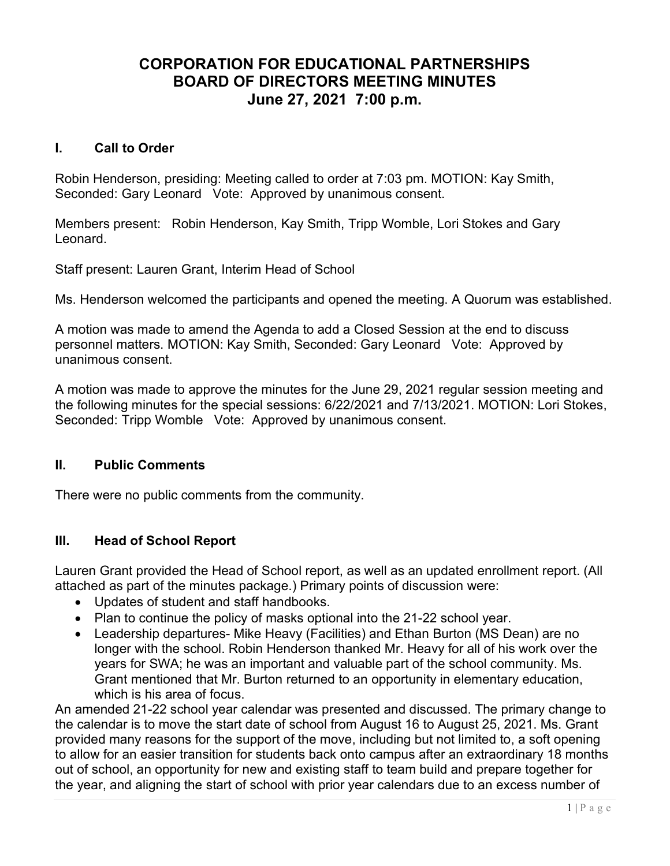# CORPORATION FOR EDUCATIONAL PARTNERSHIPS BOARD OF DIRECTORS MEETING MINUTES June 27, 2021 7:00 p.m.

#### I. Call to Order

Robin Henderson, presiding: Meeting called to order at 7:03 pm. MOTION: Kay Smith, Seconded: Gary Leonard Vote: Approved by unanimous consent.

Members present: Robin Henderson, Kay Smith, Tripp Womble, Lori Stokes and Gary Leonard.

Staff present: Lauren Grant, Interim Head of School

Ms. Henderson welcomed the participants and opened the meeting. A Quorum was established.

A motion was made to amend the Agenda to add a Closed Session at the end to discuss personnel matters. MOTION: Kay Smith, Seconded: Gary Leonard Vote: Approved by unanimous consent.

A motion was made to approve the minutes for the June 29, 2021 regular session meeting and the following minutes for the special sessions: 6/22/2021 and 7/13/2021. MOTION: Lori Stokes, Seconded: Tripp Womble Vote: Approved by unanimous consent.

### II. Public Comments

There were no public comments from the community.

### III. Head of School Report

Lauren Grant provided the Head of School report, as well as an updated enrollment report. (All attached as part of the minutes package.) Primary points of discussion were:

- Updates of student and staff handbooks.
- Plan to continue the policy of masks optional into the 21-22 school year.
- Leadership departures- Mike Heavy (Facilities) and Ethan Burton (MS Dean) are no longer with the school. Robin Henderson thanked Mr. Heavy for all of his work over the years for SWA; he was an important and valuable part of the school community. Ms. Grant mentioned that Mr. Burton returned to an opportunity in elementary education, which is his area of focus.

An amended 21-22 school year calendar was presented and discussed. The primary change to the calendar is to move the start date of school from August 16 to August 25, 2021. Ms. Grant provided many reasons for the support of the move, including but not limited to, a soft opening to allow for an easier transition for students back onto campus after an extraordinary 18 months out of school, an opportunity for new and existing staff to team build and prepare together for the year, and aligning the start of school with prior year calendars due to an excess number of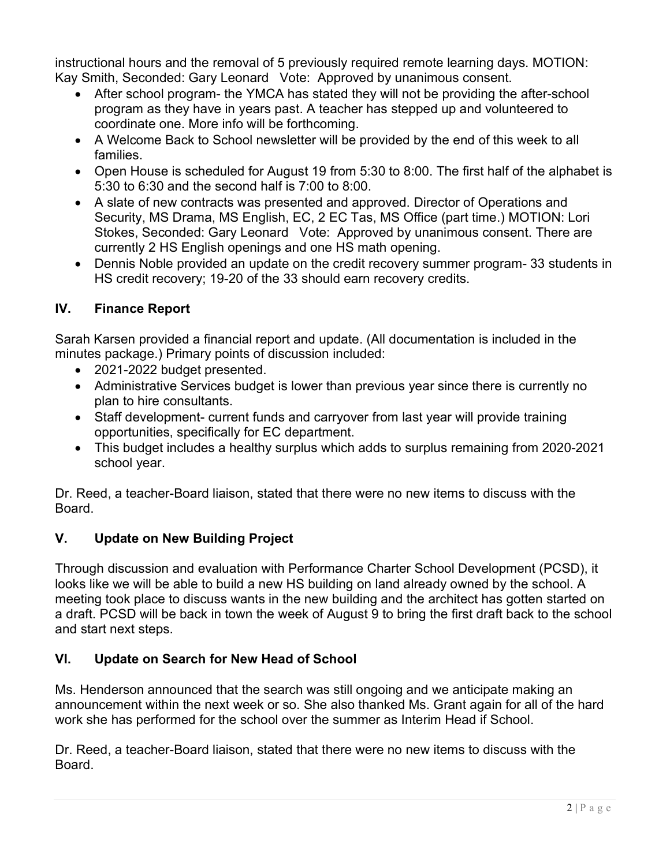instructional hours and the removal of 5 previously required remote learning days. MOTION: Kay Smith, Seconded: Gary Leonard Vote: Approved by unanimous consent.

- After school program- the YMCA has stated they will not be providing the after-school program as they have in years past. A teacher has stepped up and volunteered to coordinate one. More info will be forthcoming.
- A Welcome Back to School newsletter will be provided by the end of this week to all families.
- Open House is scheduled for August 19 from 5:30 to 8:00. The first half of the alphabet is 5:30 to 6:30 and the second half is 7:00 to 8:00.
- A slate of new contracts was presented and approved. Director of Operations and Security, MS Drama, MS English, EC, 2 EC Tas, MS Office (part time.) MOTION: Lori Stokes, Seconded: Gary Leonard Vote: Approved by unanimous consent. There are currently 2 HS English openings and one HS math opening.
- Dennis Noble provided an update on the credit recovery summer program- 33 students in HS credit recovery; 19-20 of the 33 should earn recovery credits.

## IV. Finance Report

Sarah Karsen provided a financial report and update. (All documentation is included in the minutes package.) Primary points of discussion included:

- 2021-2022 budget presented.
- Administrative Services budget is lower than previous year since there is currently no plan to hire consultants.
- Staff development- current funds and carryover from last year will provide training opportunities, specifically for EC department.
- This budget includes a healthy surplus which adds to surplus remaining from 2020-2021 school year.

Dr. Reed, a teacher-Board liaison, stated that there were no new items to discuss with the Board.

### V. Update on New Building Project

Through discussion and evaluation with Performance Charter School Development (PCSD), it looks like we will be able to build a new HS building on land already owned by the school. A meeting took place to discuss wants in the new building and the architect has gotten started on a draft. PCSD will be back in town the week of August 9 to bring the first draft back to the school and start next steps.

### VI. Update on Search for New Head of School

Ms. Henderson announced that the search was still ongoing and we anticipate making an announcement within the next week or so. She also thanked Ms. Grant again for all of the hard work she has performed for the school over the summer as Interim Head if School.

Dr. Reed, a teacher-Board liaison, stated that there were no new items to discuss with the Board.